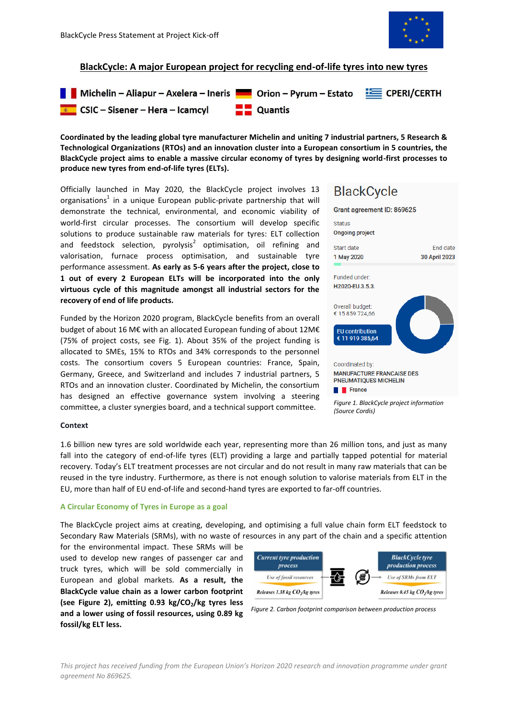

## **BlackCycle: A major European project for recycling end-of-life tyres into new tyres**



**Coordinated by the leading global tyre manufacturer Michelin and uniting 7 industrial partners, 5 Research & Technological Organizations (RTOs) and an innovation cluster into a European consortium in 5 countries, the BlackCycle project aims to enable a massive circular economy of tyres by designing world-first processes to produce new tyres from end-of-life tyres (ELTs).**

Officially launched in May 2020, the BlackCycle project involves 13 organisations<sup>1</sup> in a unique European public-private partnership that will demonstrate the technical, environmental, and economic viability of world-first circular processes. The consortium will develop specific solutions to produce sustainable raw materials for tyres: ELT collection and feedstock selection, pyrolysis<sup>2</sup> optimisation, oil refining and valorisation, furnace process optimisation, and sustainable tyre performance assessment. **As early as 5-6 years after the project, close to 1 out of every 2 European ELTs will be incorporated into the only virtuous cycle of this magnitude amongst all industrial sectors for the recovery of end of life products.**

Funded by the Horizon 2020 program, BlackCycle benefits from an overall budget of about 16 M€ with an allocated European funding of about 12M€ (75% of project costs, see Fig. 1). About 35% of the project funding is allocated to SMEs, 15% to RTOs and 34% corresponds to the personnel costs. The consortium covers 5 European countries: France, Spain, Germany, Greece, and Switzerland and includes 7 industrial partners, 5 RTOs and an innovation cluster. Coordinated by Michelin, the consortium has designed an effective governance system involving a steering committee, a cluster synergies board, and a technical support committee.

# **BlackCycle**



## **Context**

1.6 billion new tyres are sold worldwide each year, representing more than 26 million tons, and just as many fall into the category of end-of-life tyres (ELT) providing a large and partially tapped potential for material recovery. Today's ELT treatment processes are not circular and do not result in many raw materials that can be reused in the tyre industry. Furthermore, as there is not enough solution to valorise materials from ELT in the EU, more than half of EU end-of-life and second-hand tyres are exported to far-off countries.

## **A Circular Economy of Tyres in Europe as a goal**

The BlackCycle project aims at creating, developing, and optimising a full value chain form ELT feedstock to Secondary Raw Materials (SRMs), with no waste of resources in any part of the chain and a specific attention

for the environmental impact. These SRMs will be used to develop new ranges of passenger car and truck tyres, which will be sold commercially in European and global markets. **As a result, the BlackCycle value chain as a lower carbon footprint (see Figure 2), emitting 0.93 kg/CO2/kg tyres less and a lower using of fossil resources, using 0.89 kg fossil/kg ELT less.** 





*This project has received funding from the European Union's Horizon 2020 research and innovation programme under grant agreement No 869625.*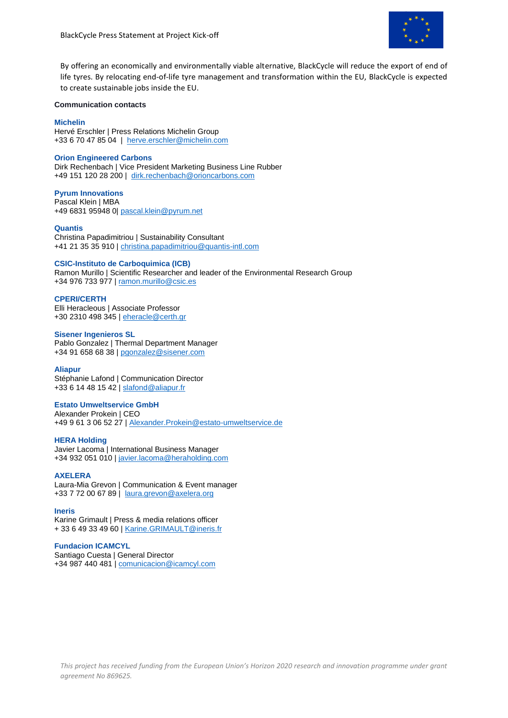

By offering an economically and environmentally viable alternative, BlackCycle will reduce the export of end of life tyres. By relocating end-of-life tyre management and transformation within the EU, BlackCycle is expected to create sustainable jobs inside the EU.

## **Communication contacts**

## **Michelin**

Hervé Erschler | Press Relations Michelin Group +33 6 70 47 85 04 | [herve.erschler@michelin.com](mailto:herve.erschler@michelin.com)

## **Orion Engineered Carbons**

Dirk Rechenbach | Vice President Marketing Business Line Rubber +49 151 120 28 200 | [dirk.rechenbach@orioncarbons.com](mailto:dirk.rechenbach@orioncarbons.com)

## **Pyrum Innovations**

Pascal Klein | MBA +49 6831 95948 0| [pascal.klein@pyrum.net](mailto:pascal.klein@pyrum.net)

## **Quantis**

Christina Papadimitriou | Sustainability Consultant +41 21 35 35 910 | [christina.papadimitriou@quantis-intl.com](mailto:christina.papadimitriou@quantis-intl.com)

## **CSIC-Instituto de Carboquimica (ICB)**

Ramon Murillo | Scientific Researcher and leader of the Environmental Research Group +34 976 733 977 | [ramon.murillo@csic.es](mailto:ramon.murillo@csic.es)

## **CPERI/CERTH**

Elli Heracleous | Associate Professor +30 2310 498 345 | [eheracle@certh.gr](mailto:eheracle@certh.gr)

## **Sisener Ingenieros SL**

Pablo Gonzalez | Thermal Department Manager +34 91 658 68 38 | [pgonzalez@sisener.com](mailto:pgonzalez@sisener.com)

## **Aliapur**

Stéphanie Lafond | Communication Director +33 6 14 48 15 42 | [slafond@aliapur.fr](mailto:slafond@aliapur.fr)

## **Estato Umweltservice GmbH**

Alexander Prokein | CEO +49 9 61 3 06 52 27 | [Alexander.Prokein@estato-umweltservice.de](mailto:Alexander.Prokein@estato-umweltservice.de)

## **HERA Holding**

Javier Lacoma | International Business Manager +34 932 051 010 | [javier.lacoma@heraholding.com](mailto:javier.lacoma@heraholding.com)

## **AXELERA**

Laura-Mia Grevon | Communication & Event manager +33 7 72 00 67 89 | [laura.grevon@axelera.org](mailto:laura.grevon@axelera.org)

## **Ineris**

Karine Grimault | Press & media relations officer + 33 6 49 33 49 60 | [Karine.GRIMAULT@ineris.fr](mailto:Karine.GRIMAULT@ineris.fr)

## **Fundacion ICAMCYL**

Santiago Cuesta | General Director +34 987 440 481 | [comunicacion@icamcyl.com](mailto:comunicacion@icamcyl.com)